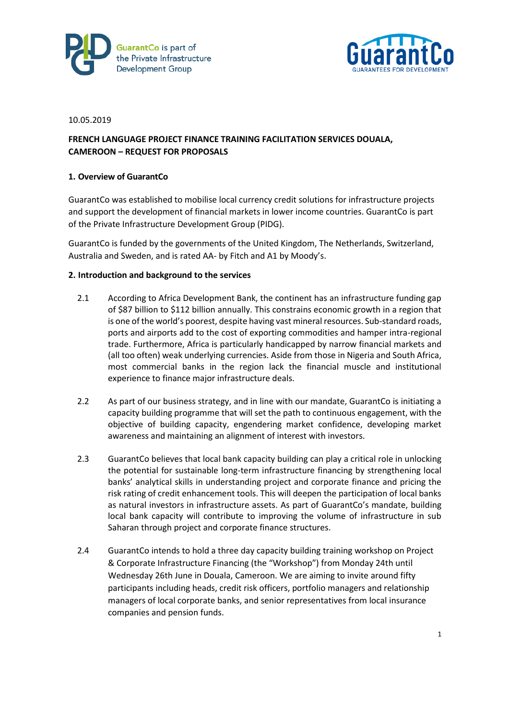



#### 10.05.2019

# **FRENCH LANGUAGE PROJECT FINANCE TRAINING FACILITATION SERVICES DOUALA, CAMEROON – REQUEST FOR PROPOSALS**

### **1. Overview of GuarantCo**

GuarantCo was established to mobilise local currency credit solutions for infrastructure projects and support the development of financial markets in lower income countries. GuarantCo is part of the Private Infrastructure Development Group (PIDG).

GuarantCo is funded by the governments of the United Kingdom, The Netherlands, Switzerland, Australia and Sweden, and is rated AA- by Fitch and A1 by Moody's.

### **2. Introduction and background to the services**

- 2.1 According to Africa Development Bank, the continent has an infrastructure funding gap of \$87 billion to \$112 billion annually. This constrains economic growth in a region that is one of the world's poorest, despite having vast mineral resources. Sub-standard roads, ports and airports add to the cost of exporting commodities and hamper intra-regional trade. Furthermore, Africa is particularly handicapped by narrow financial markets and (all too often) weak underlying currencies. Aside from those in Nigeria and South Africa, most commercial banks in the region lack the financial muscle and institutional experience to finance major infrastructure deals.
- 2.2 As part of our business strategy, and in line with our mandate, GuarantCo is initiating a capacity building programme that will set the path to continuous engagement, with the objective of building capacity, engendering market confidence, developing market awareness and maintaining an alignment of interest with investors.
- 2.3 GuarantCo believes that local bank capacity building can play a critical role in unlocking the potential for sustainable long-term infrastructure financing by strengthening local banks' analytical skills in understanding project and corporate finance and pricing the risk rating of credit enhancement tools. This will deepen the participation of local banks as natural investors in infrastructure assets. As part of GuarantCo's mandate, building local bank capacity will contribute to improving the volume of infrastructure in sub Saharan through project and corporate finance structures.
- 2.4 GuarantCo intends to hold a three day capacity building training workshop on Project & Corporate Infrastructure Financing (the "Workshop") from Monday 24th until Wednesday 26th June in Douala, Cameroon. We are aiming to invite around fifty participants including heads, credit risk officers, portfolio managers and relationship managers of local corporate banks, and senior representatives from local insurance companies and pension funds.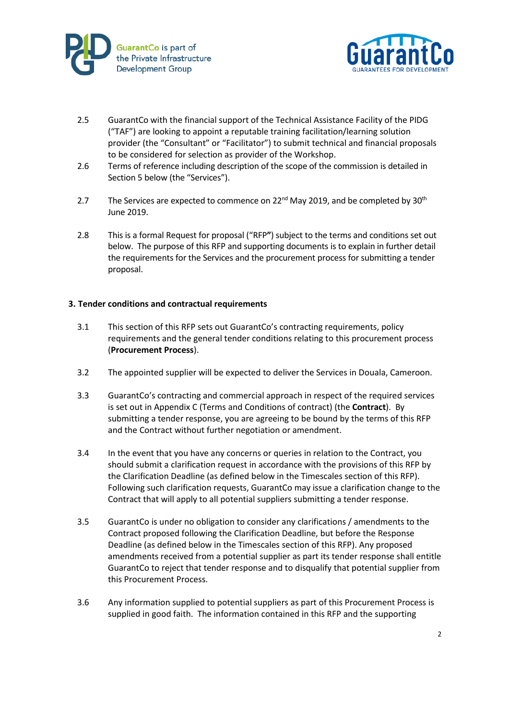



- 2.5 GuarantCo with the financial support of the Technical Assistance Facility of the PIDG ("TAF") are looking to appoint a reputable training facilitation/learning solution provider (the "Consultant" or "Facilitator") to submit technical and financial proposals to be considered for selection as provider of the Workshop.
- 2.6 Terms of reference including description of the scope of the commission is detailed in Section 5 below (the "Services").
- 2.7 The Services are expected to commence on  $22^{nd}$  May 2019, and be completed by  $30^{th}$ June 2019.
- 2.8 This is a formal Request for proposal ("RFP**"**) subject to the terms and conditions set out below. The purpose of this RFP and supporting documents is to explain in further detail the requirements for the Services and the procurement process for submitting a tender proposal.

### **3. Tender conditions and contractual requirements**

- 3.1 This section of this RFP sets out GuarantCo's contracting requirements, policy requirements and the general tender conditions relating to this procurement process (**Procurement Process**).
- 3.2 The appointed supplier will be expected to deliver the Services in Douala, Cameroon.
- 3.3 GuarantCo's contracting and commercial approach in respect of the required services is set out in Appendix C (Terms and Conditions of contract) (the **Contract**). By submitting a tender response, you are agreeing to be bound by the terms of this RFP and the Contract without further negotiation or amendment.
- 3.4 In the event that you have any concerns or queries in relation to the Contract, you should submit a clarification request in accordance with the provisions of this RFP by the Clarification Deadline (as defined below in the Timescales section of this RFP). Following such clarification requests, GuarantCo may issue a clarification change to the Contract that will apply to all potential suppliers submitting a tender response.
- 3.5 GuarantCo is under no obligation to consider any clarifications / amendments to the Contract proposed following the Clarification Deadline, but before the Response Deadline (as defined below in the Timescales section of this RFP). Any proposed amendments received from a potential supplier as part its tender response shall entitle GuarantCo to reject that tender response and to disqualify that potential supplier from this Procurement Process.
- 3.6 Any information supplied to potential suppliers as part of this Procurement Process is supplied in good faith. The information contained in this RFP and the supporting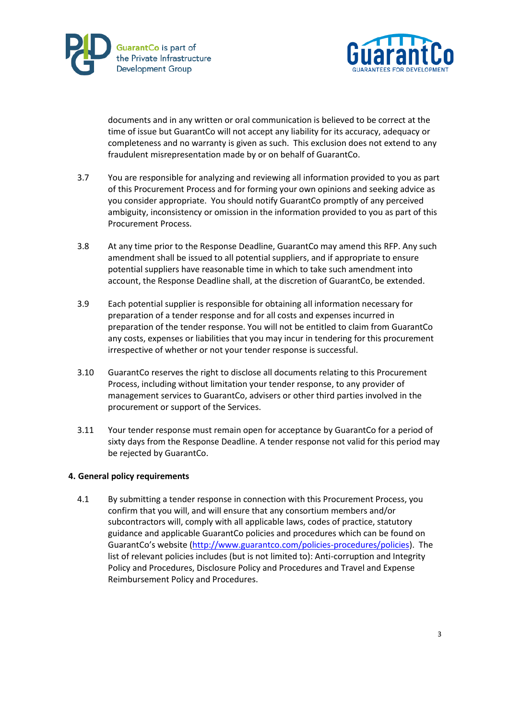



documents and in any written or oral communication is believed to be correct at the time of issue but GuarantCo will not accept any liability for its accuracy, adequacy or completeness and no warranty is given as such. This exclusion does not extend to any fraudulent misrepresentation made by or on behalf of GuarantCo.

- 3.7 You are responsible for analyzing and reviewing all information provided to you as part of this Procurement Process and for forming your own opinions and seeking advice as you consider appropriate. You should notify GuarantCo promptly of any perceived ambiguity, inconsistency or omission in the information provided to you as part of this Procurement Process.
- 3.8 At any time prior to the Response Deadline, GuarantCo may amend this RFP. Any such amendment shall be issued to all potential suppliers, and if appropriate to ensure potential suppliers have reasonable time in which to take such amendment into account, the Response Deadline shall, at the discretion of GuarantCo, be extended.
- 3.9 Each potential supplier is responsible for obtaining all information necessary for preparation of a tender response and for all costs and expenses incurred in preparation of the tender response. You will not be entitled to claim from GuarantCo any costs, expenses or liabilities that you may incur in tendering for this procurement irrespective of whether or not your tender response is successful.
- 3.10 GuarantCo reserves the right to disclose all documents relating to this Procurement Process, including without limitation your tender response, to any provider of management services to GuarantCo, advisers or other third parties involved in the procurement or support of the Services.
- 3.11 Your tender response must remain open for acceptance by GuarantCo for a period of sixty days from the Response Deadline. A tender response not valid for this period may be rejected by GuarantCo.

### **4. General policy requirements**

4.1 By submitting a tender response in connection with this Procurement Process, you confirm that you will, and will ensure that any consortium members and/or subcontractors will, comply with all applicable laws, codes of practice, statutory guidance and applicable GuarantCo policies and procedures which can be found on GuarantCo's website ([http://www.guarantco.com/policies-procedures/policies\)](http://www.guarantco.com/policies-procedures/policies). The list of relevant policies includes (but is not limited to): Anti-corruption and Integrity Policy and Procedures, Disclosure Policy and Procedures and Travel and Expense Reimbursement Policy and Procedures.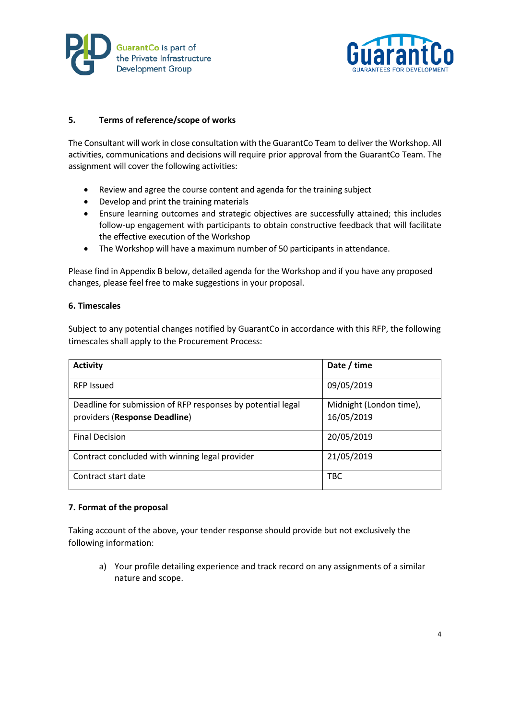



### **5. Terms of reference/scope of works**

The Consultant will work in close consultation with the GuarantCo Team to deliver the Workshop. All activities, communications and decisions will require prior approval from the GuarantCo Team. The assignment will cover the following activities:

- Review and agree the course content and agenda for the training subject
- Develop and print the training materials
- Ensure learning outcomes and strategic objectives are successfully attained; this includes follow-up engagement with participants to obtain constructive feedback that will facilitate the effective execution of the Workshop
- The Workshop will have a maximum number of 50 participants in attendance.

Please find in Appendix B below, detailed agenda for the Workshop and if you have any proposed changes, please feel free to make suggestions in your proposal.

### **6. Timescales**

Subject to any potential changes notified by GuarantCo in accordance with this RFP, the following timescales shall apply to the Procurement Process:

| <b>Activity</b>                                                                              | Date / time                           |
|----------------------------------------------------------------------------------------------|---------------------------------------|
| <b>RFP Issued</b>                                                                            | 09/05/2019                            |
| Deadline for submission of RFP responses by potential legal<br>providers (Response Deadline) | Midnight (London time),<br>16/05/2019 |
| <b>Final Decision</b>                                                                        | 20/05/2019                            |
| Contract concluded with winning legal provider                                               | 21/05/2019                            |
| Contract start date                                                                          | <b>TBC</b>                            |

### **7. Format of the proposal**

Taking account of the above, your tender response should provide but not exclusively the following information:

a) Your profile detailing experience and track record on any assignments of a similar nature and scope.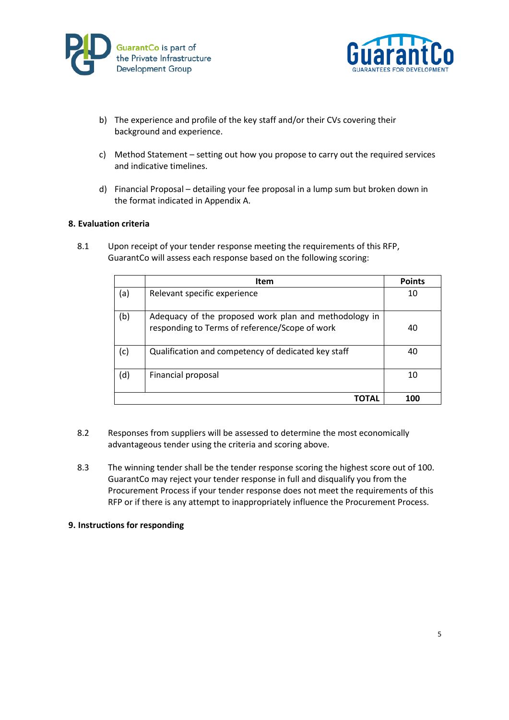



- b) The experience and profile of the key staff and/or their CVs covering their background and experience.
- c) Method Statement setting out how you propose to carry out the required services and indicative timelines.
- d) Financial Proposal detailing your fee proposal in a lump sum but broken down in the format indicated in Appendix A.

### **8. Evaluation criteria**

8.1 Upon receipt of your tender response meeting the requirements of this RFP, GuarantCo will assess each response based on the following scoring:

|     | <b>Item</b>                                                                                             | <b>Points</b> |
|-----|---------------------------------------------------------------------------------------------------------|---------------|
| (a) | Relevant specific experience                                                                            | 10            |
| (b) | Adequacy of the proposed work plan and methodology in<br>responding to Terms of reference/Scope of work | 40            |
| (c) | Qualification and competency of dedicated key staff                                                     | 40            |
| (d) | Financial proposal                                                                                      | 10            |
|     |                                                                                                         | 100           |

- 8.2 Responses from suppliers will be assessed to determine the most economically advantageous tender using the criteria and scoring above.
- 8.3 The winning tender shall be the tender response scoring the highest score out of 100. GuarantCo may reject your tender response in full and disqualify you from the Procurement Process if your tender response does not meet the requirements of this RFP or if there is any attempt to inappropriately influence the Procurement Process.

### **9. Instructions for responding**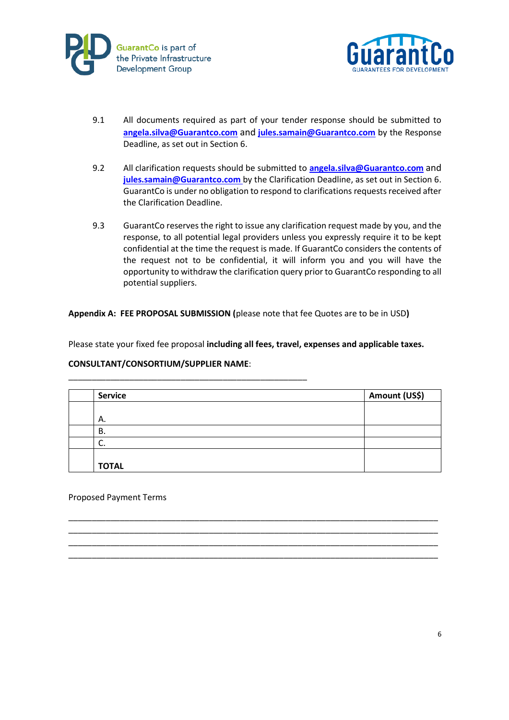



- 9.1 All documents required as part of your tender response should be submitted to **[angela.silva@Guarantco.com](mailto:angela.silva@Guarantco.com)** and **[jules.samain@Guarantco.com](mailto:jules.samain@Guarantco.com)** by the Response Deadline, as set out in Section 6.
- 9.2 All clarification requests should be submitted to **[angela.silva@Guarantco.com](mailto:angela.silva@Guarantco.com)** and **[jules.samain@Guarantco.com](mailto:jules.samain@Guarantco.com)** by the Clarification Deadline, as set out in Section 6. GuarantCo is under no obligation to respond to clarifications requests received after the Clarification Deadline.
- 9.3 GuarantCo reserves the right to issue any clarification request made by you, and the response, to all potential legal providers unless you expressly require it to be kept confidential at the time the request is made. If GuarantCo considers the contents of the request not to be confidential, it will inform you and you will have the opportunity to withdraw the clarification query prior to GuarantCo responding to all potential suppliers.

**Appendix A: FEE PROPOSAL SUBMISSION (**please note that fee Quotes are to be in USD**)**

Please state your fixed fee proposal **including all fees, travel, expenses and applicable taxes.**

### **CONSULTANT/CONSORTIUM/SUPPLIER NAME**:

\_\_\_\_\_\_\_\_\_\_\_\_\_\_\_\_\_\_\_\_\_\_\_\_\_\_\_\_\_\_\_\_\_\_\_\_\_\_\_\_\_\_\_\_\_\_\_\_\_\_\_

| <b>Service</b> | Amount (US\$) |  |
|----------------|---------------|--|
|                |               |  |
| А.             |               |  |
| В.             |               |  |
| J.             |               |  |
|                |               |  |
| <b>TOTAL</b>   |               |  |

\_\_\_\_\_\_\_\_\_\_\_\_\_\_\_\_\_\_\_\_\_\_\_\_\_\_\_\_\_\_\_\_\_\_\_\_\_\_\_\_\_\_\_\_\_\_\_\_\_\_\_\_\_\_\_\_\_\_\_\_\_\_\_\_\_\_\_\_\_\_\_\_\_\_\_\_\_\_\_ \_\_\_\_\_\_\_\_\_\_\_\_\_\_\_\_\_\_\_\_\_\_\_\_\_\_\_\_\_\_\_\_\_\_\_\_\_\_\_\_\_\_\_\_\_\_\_\_\_\_\_\_\_\_\_\_\_\_\_\_\_\_\_\_\_\_\_\_\_\_\_\_\_\_\_\_\_\_\_ \_\_\_\_\_\_\_\_\_\_\_\_\_\_\_\_\_\_\_\_\_\_\_\_\_\_\_\_\_\_\_\_\_\_\_\_\_\_\_\_\_\_\_\_\_\_\_\_\_\_\_\_\_\_\_\_\_\_\_\_\_\_\_\_\_\_\_\_\_\_\_\_\_\_\_\_\_\_\_ \_\_\_\_\_\_\_\_\_\_\_\_\_\_\_\_\_\_\_\_\_\_\_\_\_\_\_\_\_\_\_\_\_\_\_\_\_\_\_\_\_\_\_\_\_\_\_\_\_\_\_\_\_\_\_\_\_\_\_\_\_\_\_\_\_\_\_\_\_\_\_\_\_\_\_\_\_\_\_

Proposed Payment Terms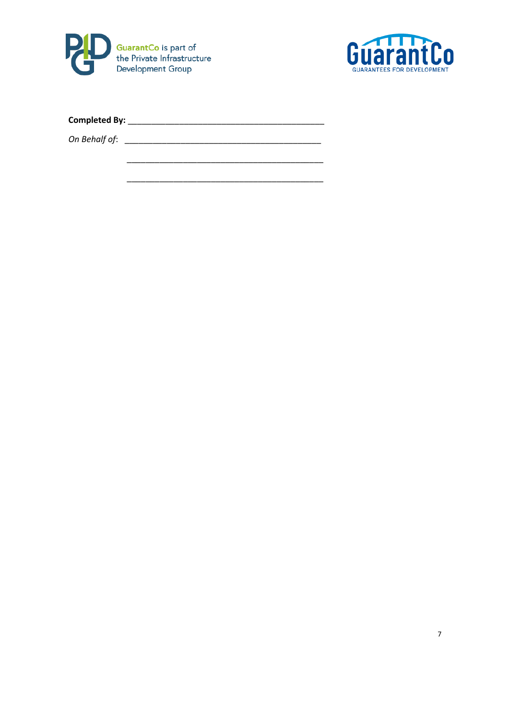

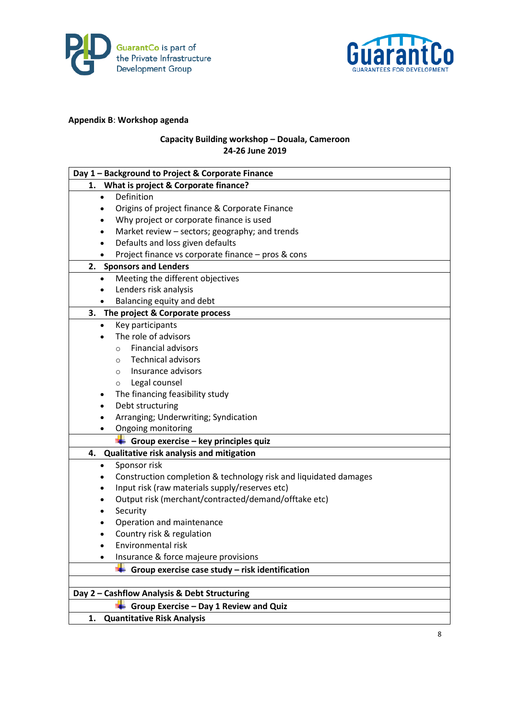



# **Appendix B**: **Workshop agenda**

# **Capacity Building workshop – Douala, Cameroon 24-26 June 2019**

| Day 1 - Background to Project & Corporate Finance                |
|------------------------------------------------------------------|
| What is project & Corporate finance?<br>1. .                     |
| Definition<br>$\bullet$                                          |
| Origins of project finance & Corporate Finance                   |
| Why project or corporate finance is used                         |
| Market review - sectors; geography; and trends<br>٠              |
| Defaults and loss given defaults                                 |
| Project finance vs corporate finance - pros & cons               |
| 2. Sponsors and Lenders                                          |
| Meeting the different objectives<br>$\bullet$                    |
| Lenders risk analysis<br>٠                                       |
| Balancing equity and debt                                        |
| The project & Corporate process<br>3.                            |
| Key participants<br>$\bullet$                                    |
| The role of advisors                                             |
| <b>Financial advisors</b><br>$\circ$                             |
| <b>Technical advisors</b><br>$\circ$                             |
| Insurance advisors<br>$\circ$                                    |
| Legal counsel<br>$\circ$                                         |
| The financing feasibility study                                  |
| Debt structuring                                                 |
| Arranging; Underwriting; Syndication                             |
| Ongoing monitoring                                               |
| Group exercise - key principles quiz                             |
| Qualitative risk analysis and mitigation<br>4.                   |
| Sponsor risk<br>٠                                                |
| Construction completion & technology risk and liquidated damages |
| Input risk (raw materials supply/reserves etc)                   |
| Output risk (merchant/contracted/demand/offtake etc)             |
| Security                                                         |
| Operation and maintenance                                        |
| Country risk & regulation                                        |
| Environmental risk                                               |
| Insurance & force majeure provisions<br>٠                        |
| Group exercise case study - risk identification                  |
|                                                                  |
| Day 2 - Cashflow Analysis & Debt Structuring                     |
| Group Exercise - Day 1 Review and Quiz                           |
| <b>Quantitative Risk Analysis</b><br>1.                          |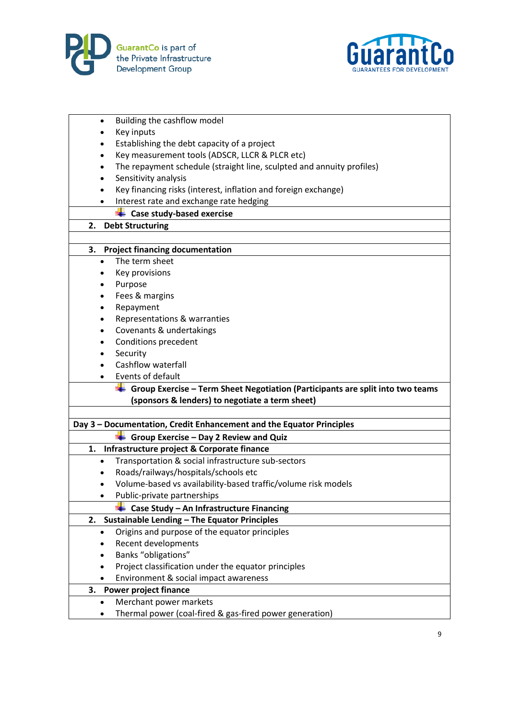



| $\bullet$ | Building the cashflow model                                                    |
|-----------|--------------------------------------------------------------------------------|
| ٠         | Key inputs                                                                     |
| $\bullet$ | Establishing the debt capacity of a project                                    |
| $\bullet$ | Key measurement tools (ADSCR, LLCR & PLCR etc)                                 |
|           | The repayment schedule (straight line, sculpted and annuity profiles)          |
|           | Sensitivity analysis                                                           |
| $\bullet$ | Key financing risks (interest, inflation and foreign exchange)                 |
|           | Interest rate and exchange rate hedging                                        |
|           | <b>Case study-based exercise</b>                                               |
| 2.        | <b>Debt Structuring</b>                                                        |
|           |                                                                                |
|           | 3. Project financing documentation                                             |
| $\bullet$ | The term sheet                                                                 |
| ٠         | Key provisions                                                                 |
| ٠         | Purpose                                                                        |
| ٠         | Fees & margins                                                                 |
|           | Repayment                                                                      |
| $\bullet$ | Representations & warranties                                                   |
|           | Covenants & undertakings                                                       |
|           | Conditions precedent                                                           |
|           | Security                                                                       |
| $\bullet$ | Cashflow waterfall                                                             |
|           | Events of default                                                              |
|           | Group Exercise - Term Sheet Negotiation (Participants are split into two teams |
|           | (sponsors & lenders) to negotiate a term sheet)                                |
|           |                                                                                |
|           | Day 3 - Documentation, Credit Enhancement and the Equator Principles           |
|           | Group Exercise - Day 2 Review and Quiz                                         |
| 1.        | Infrastructure project & Corporate finance                                     |
| $\bullet$ | Transportation & social infrastructure sub-sectors                             |
| $\bullet$ | Roads/railways/hospitals/schools etc                                           |
|           | Volume-based vs availability-based traffic/volume risk models                  |
|           | Public-private partnerships                                                    |
|           | Case Study - An Infrastructure Financing                                       |
| 2.        | <b>Sustainable Lending - The Equator Principles</b>                            |
|           | Origins and purpose of the equator principles                                  |
|           | Recent developments                                                            |
|           | Banks "obligations"                                                            |
|           | Project classification under the equator principles                            |
|           | Environment & social impact awareness                                          |
| 3.        | <b>Power project finance</b>                                                   |
|           | Merchant power markets                                                         |
|           | Thermal power (coal-fired & gas-fired power generation)                        |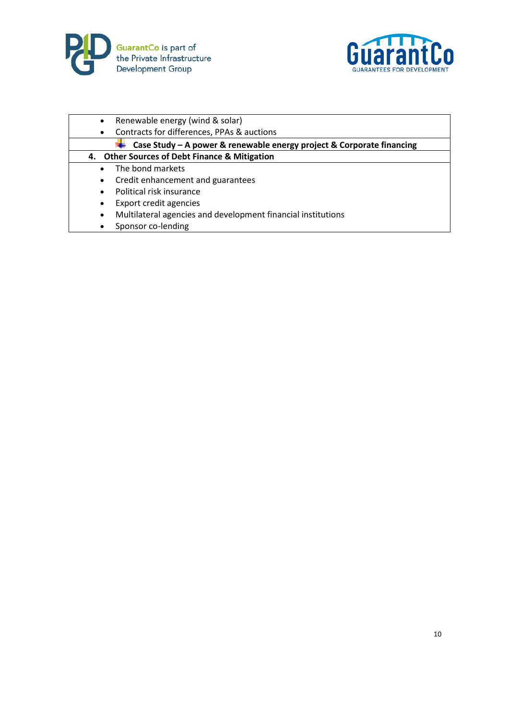



| Renewable energy (wind & solar)<br>$\bullet$                              |  |
|---------------------------------------------------------------------------|--|
| Contracts for differences, PPAs & auctions<br>$\bullet$                   |  |
| Case Study - A power & renewable energy project & Corporate financing     |  |
| 4. Other Sources of Debt Finance & Mitigation                             |  |
| The bond markets                                                          |  |
| Credit enhancement and guarantees<br>$\bullet$                            |  |
| Political risk insurance<br>$\bullet$                                     |  |
| <b>Export credit agencies</b><br>$\bullet$                                |  |
| Multilateral agencies and development financial institutions<br>$\bullet$ |  |
| Sponsor co-lending<br>$\bullet$                                           |  |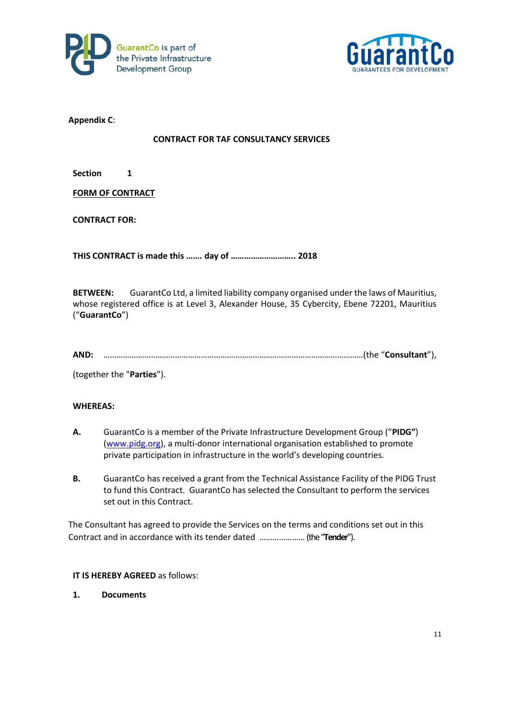



**Appendix C**:

### **CONTRACT FOR TAF CONSULTANCY SERVICES**

**Section 1** 

**FORM OF CONTRACT**

**CONTRACT FOR:**

**THIS CONTRACT is made this ……. day of ……………………….. 2018**

**BETWEEN:** GuarantCo Ltd, a limited liability company organised under the laws of Mauritius, whose registered office is at Level 3, Alexander House, 35 Cybercity, Ebene 72201, Mauritius ("**GuarantCo**")

| <b>AND</b> |  |  |
|------------|--|--|
|            |  |  |

(together the "**Parties**").

### **WHEREAS:**

- **A.** GuarantCo is a member of the Private Infrastructure Development Group ("**PIDG"**) [\(www.pidg.org\)](http://www.pidg.org/), a multi-donor international organisation established to promote private participation in infrastructure in the world's developing countries.
- **B.** GuarantCo has received a grant from the Technical Assistance Facility of the PIDG Trust to fund this Contract. GuarantCo has selected the Consultant to perform the services set out in this Contract.

The Consultant has agreed to provide the Services on the terms and conditions set out in this Contract and in accordance with its tender dated …………………(the "**Tender**").

### **IT IS HEREBY AGREED** as follows:

**1. Documents**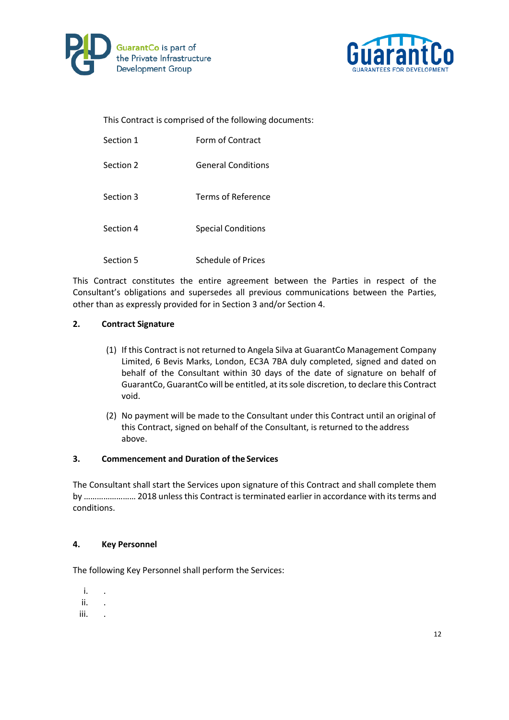



This Contract is comprised of the following documents:

| Section 1 | Form of Contract          |
|-----------|---------------------------|
| Section 2 | <b>General Conditions</b> |
| Section 3 | Terms of Reference        |
| Section 4 | <b>Special Conditions</b> |
| Section 5 | Schedule of Prices        |

This Contract constitutes the entire agreement between the Parties in respect of the Consultant's obligations and supersedes all previous communications between the Parties, other than as expressly provided for in Section 3 and/or Section 4.

### **2. Contract Signature**

- (1) If this Contract is not returned to Angela Silva at GuarantCo Management Company Limited, 6 Bevis Marks, London, EC3A 7BA duly completed, signed and dated on behalf of the Consultant within 30 days of the date of signature on behalf of GuarantCo, GuarantCo will be entitled, at its sole discretion, to declare this Contract void.
- (2) No payment will be made to the Consultant under this Contract until an original of this Contract, signed on behalf of the Consultant, is returned to the address above.

### **3. Commencement and Duration of the Services**

The Consultant shall start the Services upon signature of this Contract and shall complete them by …………………… 2018 unless this Contract is terminated earlier in accordance with its terms and conditions.

### **4. Key Personnel**

The following Key Personnel shall perform the Services:

- i. .
- ii. .
- iii. .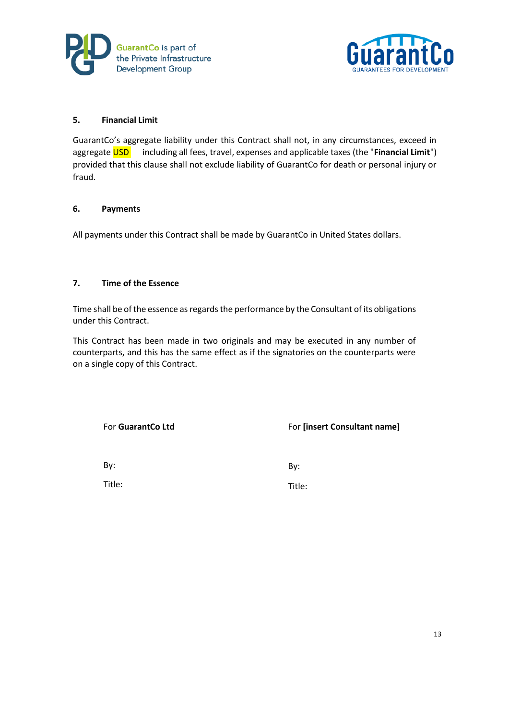



### **5. Financial Limit**

GuarantCo's aggregate liability under this Contract shall not, in any circumstances, exceed in aggregate **USD** including all fees, travel, expenses and applicable taxes (the "Financial Limit") provided that this clause shall not exclude liability of GuarantCo for death or personal injury or fraud.

### **6. Payments**

All payments under this Contract shall be made by GuarantCo in United States dollars.

### **7. Time of the Essence**

Time shall be of the essence as regards the performance by the Consultant of its obligations under this Contract.

This Contract has been made in two originals and may be executed in any number of counterparts, and this has the same effect as if the signatories on the counterparts were on a single copy of this Contract.

For **GuarantCo Ltd**

For **[insert Consultant name**]

By:

By:

Title:

Title: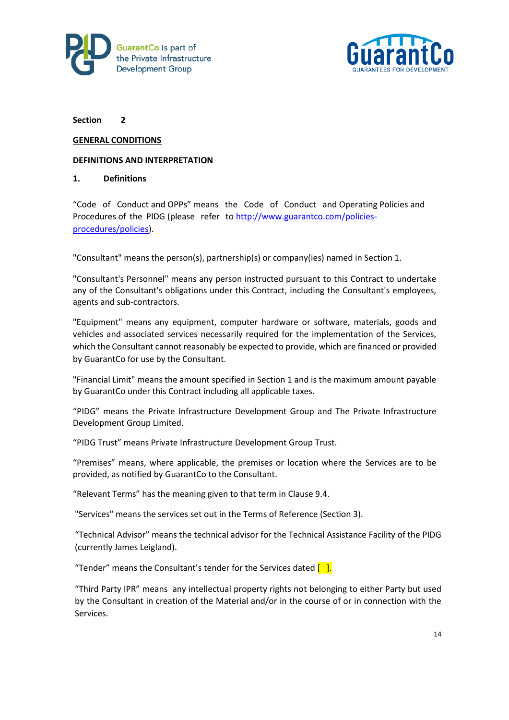



#### **GENERAL CONDITIONS**

#### **DEFINITIONS AND INTERPRETATION**

#### **1. Definitions**

"Code of Conduct and OPPs" means the Code of Conduct and Operating Policies and Procedures of the PIDG (please refer to [http://www.guarantco.com/policies](http://www.guarantco.com/policies-procedures/policies)[procedures/policies\)](http://www.guarantco.com/policies-procedures/policies).

"Consultant" means the person(s), partnership(s) or company(ies) named in Section 1.

"Consultant's Personnel" means any person instructed pursuant to this Contract to undertake any of the Consultant's obligations under this Contract, including the Consultant's employees, agents and sub-contractors.

"Equipment" means any equipment, computer hardware or software, materials, goods and vehicles and associated services necessarily required for the implementation of the Services, which the Consultant cannot reasonably be expected to provide, which are financed or provided by GuarantCo for use by the Consultant.

"Financial Limit" means the amount specified in Section 1 and is the maximum amount payable by GuarantCo under this Contract including all applicable taxes.

"PIDG" means the Private Infrastructure Development Group and The Private Infrastructure Development Group Limited.

"PIDG Trust" means Private Infrastructure Development Group Trust.

"Premises" means, where applicable, the premises or location where the Services are to be provided, as notified by GuarantCo to the Consultant.

"Relevant Terms" has the meaning given to that term in Clause 9.4.

"Services" means the services set out in the Terms of Reference (Section 3).

"Technical Advisor" means the technical advisor for the Technical Assistance Facility of the PIDG (currently James Leigland).

"Tender" means the Consultant's tender for the Services dated  $\begin{bmatrix} 1 \end{bmatrix}$ .

"Third Party IPR" means any intellectual property rights not belonging to either Party but used by the Consultant in creation of the Material and/or in the course of or in connection with the Services.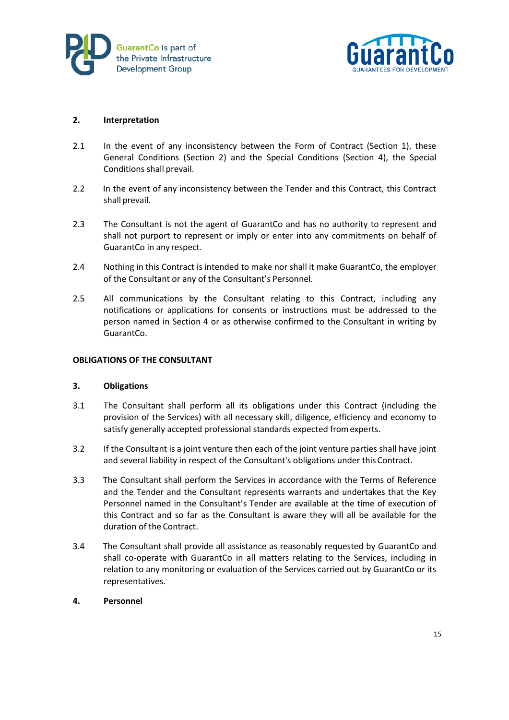



### **2. Interpretation**

- 2.1 In the event of any inconsistency between the Form of Contract (Section 1), these General Conditions (Section 2) and the Special Conditions (Section 4), the Special Conditions shall prevail.
- 2.2 In the event of any inconsistency between the Tender and this Contract, this Contract shall prevail.
- 2.3 The Consultant is not the agent of GuarantCo and has no authority to represent and shall not purport to represent or imply or enter into any commitments on behalf of GuarantCo in any respect.
- 2.4 Nothing in this Contract is intended to make nor shall it make GuarantCo, the employer of the Consultant or any of the Consultant's Personnel.
- 2.5 All communications by the Consultant relating to this Contract, including any notifications or applications for consents or instructions must be addressed to the person named in Section 4 or as otherwise confirmed to the Consultant in writing by GuarantCo.

#### **OBLIGATIONS OF THE CONSULTANT**

### **3. Obligations**

- 3.1 The Consultant shall perform all its obligations under this Contract (including the provision of the Services) with all necessary skill, diligence, efficiency and economy to satisfy generally accepted professional standards expected fromexperts.
- 3.2 If the Consultant is a joint venture then each of the joint venture parties shall have joint and several liability in respect of the Consultant's obligations under this Contract.
- 3.3 The Consultant shall perform the Services in accordance with the Terms of Reference and the Tender and the Consultant represents warrants and undertakes that the Key Personnel named in the Consultant's Tender are available at the time of execution of this Contract and so far as the Consultant is aware they will all be available for the duration of the Contract.
- 3.4 The Consultant shall provide all assistance as reasonably requested by GuarantCo and shall co-operate with GuarantCo in all matters relating to the Services, including in relation to any monitoring or evaluation of the Services carried out by GuarantCo or its representatives.

### **4. Personnel**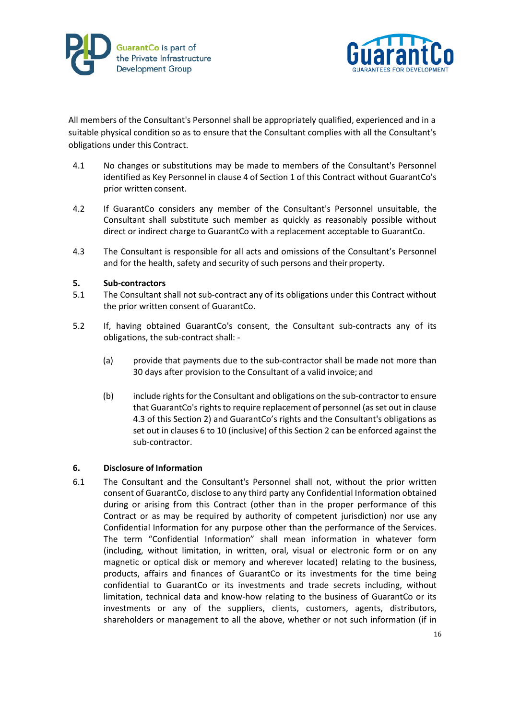



All members of the Consultant's Personnel shall be appropriately qualified, experienced and in a suitable physical condition so as to ensure that the Consultant complies with all the Consultant's obligations under this Contract.

- 4.1 No changes or substitutions may be made to members of the Consultant's Personnel identified as Key Personnel in clause 4 of Section 1 of this Contract without GuarantCo's prior written consent.
- 4.2 If GuarantCo considers any member of the Consultant's Personnel unsuitable, the Consultant shall substitute such member as quickly as reasonably possible without direct or indirect charge to GuarantCo with a replacement acceptable to GuarantCo.
- 4.3 The Consultant is responsible for all acts and omissions of the Consultant's Personnel and for the health, safety and security of such persons and their property.

### **5. Sub-contractors**

- 5.1 The Consultant shall not sub-contract any of its obligations under this Contract without the prior written consent of GuarantCo.
- 5.2 If, having obtained GuarantCo's consent, the Consultant sub-contracts any of its obligations, the sub-contract shall: -
	- (a) provide that payments due to the sub-contractor shall be made not more than 30 days after provision to the Consultant of a valid invoice; and
	- (b) include rights for the Consultant and obligations on the sub-contractor to ensure that GuarantCo's rights to require replacement of personnel (as set out in clause 4.3 of this Section 2) and GuarantCo's rights and the Consultant's obligations as set out in clauses 6 to 10 (inclusive) of this Section 2 can be enforced against the sub-contractor.

### **6. Disclosure of Information**

6.1 The Consultant and the Consultant's Personnel shall not, without the prior written consent of GuarantCo, disclose to any third party any Confidential Information obtained during or arising from this Contract (other than in the proper performance of this Contract or as may be required by authority of competent jurisdiction) nor use any Confidential Information for any purpose other than the performance of the Services. The term "Confidential Information" shall mean information in whatever form (including, without limitation, in written, oral, visual or electronic form or on any magnetic or optical disk or memory and wherever located) relating to the business, products, affairs and finances of GuarantCo or its investments for the time being confidential to GuarantCo or its investments and trade secrets including, without limitation, technical data and know-how relating to the business of GuarantCo or its investments or any of the suppliers, clients, customers, agents, distributors, shareholders or management to all the above, whether or not such information (if in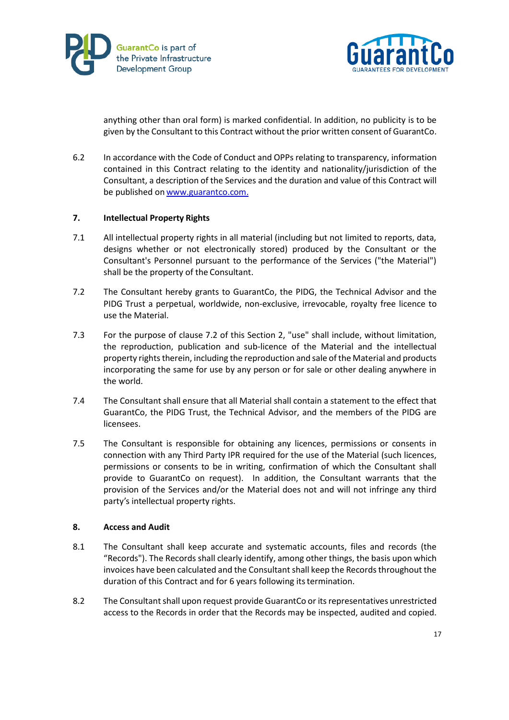



anything other than oral form) is marked confidential. In addition, no publicity is to be given by the Consultant to this Contract without the prior written consent of GuarantCo.

6.2 In accordance with the Code of Conduct and OPPs relating to transparency, information contained in this Contract relating to the identity and nationality/jurisdiction of the Consultant, a description of the Services and the duration and value of this Contract will be published on [www.guarantco.com.](http://www.guarantco.com./)

### **7. Intellectual Property Rights**

- 7.1 All intellectual property rights in all material (including but not limited to reports, data, designs whether or not electronically stored) produced by the Consultant or the Consultant's Personnel pursuant to the performance of the Services ("the Material") shall be the property of the Consultant.
- 7.2 The Consultant hereby grants to GuarantCo, the PIDG, the Technical Advisor and the PIDG Trust a perpetual, worldwide, non-exclusive, irrevocable, royalty free licence to use the Material.
- 7.3 For the purpose of clause 7.2 of this Section 2, "use" shall include, without limitation, the reproduction, publication and sub-licence of the Material and the intellectual property rights therein, including the reproduction and sale of the Material and products incorporating the same for use by any person or for sale or other dealing anywhere in the world.
- 7.4 The Consultant shall ensure that all Material shall contain a statement to the effect that GuarantCo, the PIDG Trust, the Technical Advisor, and the members of the PIDG are licensees.
- 7.5 The Consultant is responsible for obtaining any licences, permissions or consents in connection with any Third Party IPR required for the use of the Material (such licences, permissions or consents to be in writing, confirmation of which the Consultant shall provide to GuarantCo on request). In addition, the Consultant warrants that the provision of the Services and/or the Material does not and will not infringe any third party's intellectual property rights.

### **8. Access and Audit**

- 8.1 The Consultant shall keep accurate and systematic accounts, files and records (the "Records"). The Records shall clearly identify, among other things, the basis upon which invoices have been calculated and the Consultant shall keep the Records throughout the duration of this Contract and for 6 years following its termination.
- 8.2 The Consultant shall upon request provide GuarantCo or its representatives unrestricted access to the Records in order that the Records may be inspected, audited and copied.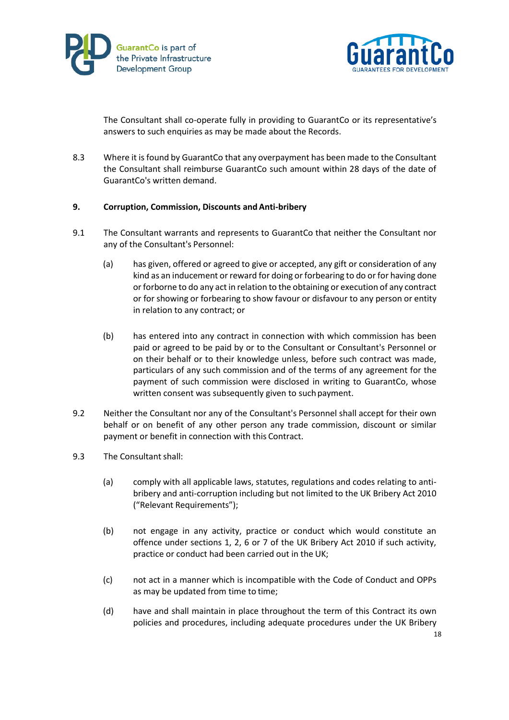



The Consultant shall co-operate fully in providing to GuarantCo or its representative's answers to such enquiries as may be made about the Records.

8.3 Where it is found by GuarantCo that any overpayment has been made to the Consultant the Consultant shall reimburse GuarantCo such amount within 28 days of the date of GuarantCo's written demand.

### **9. Corruption, Commission, Discounts andAnti-bribery**

- 9.1 The Consultant warrants and represents to GuarantCo that neither the Consultant nor any of the Consultant's Personnel:
	- (a) has given, offered or agreed to give or accepted, any gift or consideration of any kind as an inducement or reward for doing or forbearing to do or for having done or forborne to do any act in relation to the obtaining or execution of any contract or for showing or forbearing to show favour or disfavour to any person or entity in relation to any contract; or
	- (b) has entered into any contract in connection with which commission has been paid or agreed to be paid by or to the Consultant or Consultant's Personnel or on their behalf or to their knowledge unless, before such contract was made, particulars of any such commission and of the terms of any agreement for the payment of such commission were disclosed in writing to GuarantCo, whose written consent was subsequently given to such payment.
- 9.2 Neither the Consultant nor any of the Consultant's Personnel shall accept for their own behalf or on benefit of any other person any trade commission, discount or similar payment or benefit in connection with this Contract.
- 9.3 The Consultant shall:
	- (a) comply with all applicable laws, statutes, regulations and codes relating to antibribery and anti-corruption including but not limited to the UK Bribery Act 2010 ("Relevant Requirements");
	- (b) not engage in any activity, practice or conduct which would constitute an offence under sections 1, 2, 6 or 7 of the UK Bribery Act 2010 if such activity, practice or conduct had been carried out in the UK;
	- (c) not act in a manner which is incompatible with the Code of Conduct and OPPs as may be updated from time to time;
	- (d) have and shall maintain in place throughout the term of this Contract its own policies and procedures, including adequate procedures under the UK Bribery

18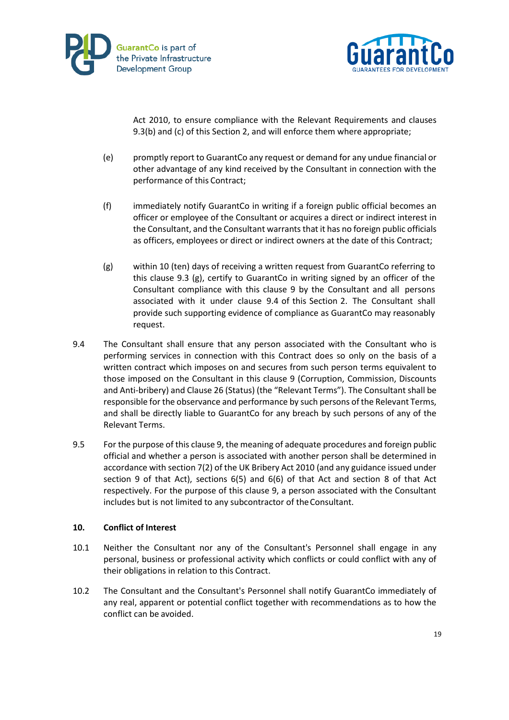



Act 2010, to ensure compliance with the Relevant Requirements and clauses 9.3(b) and (c) of this Section 2, and will enforce them where appropriate;

- (e) promptly report to GuarantCo any request or demand for any undue financial or other advantage of any kind received by the Consultant in connection with the performance of this Contract;
- (f) immediately notify GuarantCo in writing if a foreign public official becomes an officer or employee of the Consultant or acquires a direct or indirect interest in the Consultant, and the Consultant warrants that it has no foreign public officials as officers, employees or direct or indirect owners at the date of this Contract;
- (g) within 10 (ten) days of receiving a written request from GuarantCo referring to this clause 9.3 (g), certify to GuarantCo in writing signed by an officer of the Consultant compliance with this clause 9 by the Consultant and all persons associated with it under clause 9.4 of this Section 2. The Consultant shall provide such supporting evidence of compliance as GuarantCo may reasonably request.
- 9.4 The Consultant shall ensure that any person associated with the Consultant who is performing services in connection with this Contract does so only on the basis of a written contract which imposes on and secures from such person terms equivalent to those imposed on the Consultant in this clause 9 (Corruption, Commission, Discounts and Anti-bribery) and Clause 26 (Status) (the "Relevant Terms"). The Consultant shall be responsible for the observance and performance by such persons of the Relevant Terms, and shall be directly liable to GuarantCo for any breach by such persons of any of the Relevant Terms.
- 9.5 For the purpose of this clause 9, the meaning of adequate procedures and foreign public official and whether a person is associated with another person shall be determined in accordance with section 7(2) of the UK Bribery Act 2010 (and any guidance issued under section 9 of that Act), sections 6(5) and 6(6) of that Act and section 8 of that Act respectively. For the purpose of this clause 9, a person associated with the Consultant includes but is not limited to any subcontractor of theConsultant.

### **10. Conflict of Interest**

- 10.1 Neither the Consultant nor any of the Consultant's Personnel shall engage in any personal, business or professional activity which conflicts or could conflict with any of their obligations in relation to this Contract.
- 10.2 The Consultant and the Consultant's Personnel shall notify GuarantCo immediately of any real, apparent or potential conflict together with recommendations as to how the conflict can be avoided.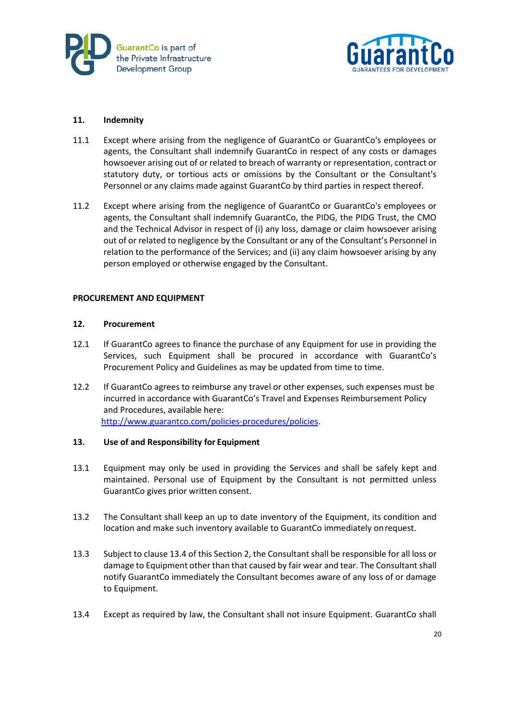



### **11. Indemnity**

- 11.1 Except where arising from the negligence of GuarantCo or GuarantCo's employees or agents, the Consultant shall indemnify GuarantCo in respect of any costs or damages howsoever arising out of or related to breach of warranty or representation, contract or statutory duty, or tortious acts or omissions by the Consultant or the Consultant's Personnel or any claims made against GuarantCo by third parties in respect thereof.
- 11.2 Except where arising from the negligence of GuarantCo or GuarantCo's employees or agents, the Consultant shall indemnify GuarantCo, the PIDG, the PIDG Trust, the CMO and the Technical Advisor in respect of (i) any loss, damage or claim howsoever arising out of or related to negligence by the Consultant or any of the Consultant's Personnel in relation to the performance of the Services; and (ii) any claim howsoever arising by any person employed or otherwise engaged by the Consultant.

### **PROCUREMENT AND EQUIPMENT**

#### **12. Procurement**

- 12.1 If GuarantCo agrees to finance the purchase of any Equipment for use in providing the Services, such Equipment shall be procured in accordance with GuarantCo's Procurement Policy and Guidelines as may be updated from time to time.
- 12.2 If GuarantCo agrees to reimburse any travel or other expenses, such expenses must be incurred in accordance with GuarantCo's Travel and Expenses Reimbursement Policy and Procedures, available here: [http://www.guarantco.com/policies-procedures/policies.](http://www.guarantco.com/policies-procedures/policies)

### **13. Use of and Responsibility for Equipment**

- 13.1 Equipment may only be used in providing the Services and shall be safely kept and maintained. Personal use of Equipment by the Consultant is not permitted unless GuarantCo gives prior written consent.
- 13.2 The Consultant shall keep an up to date inventory of the Equipment, its condition and location and make such inventory available to GuarantCo immediately onrequest.
- 13.3 Subject to clause 13.4 of this Section 2, the Consultant shall be responsible for all loss or damage to Equipment other than that caused by fair wear and tear. The Consultant shall notify GuarantCo immediately the Consultant becomes aware of any loss of or damage to Equipment.
- 13.4 Except as required by law, the Consultant shall not insure Equipment. GuarantCo shall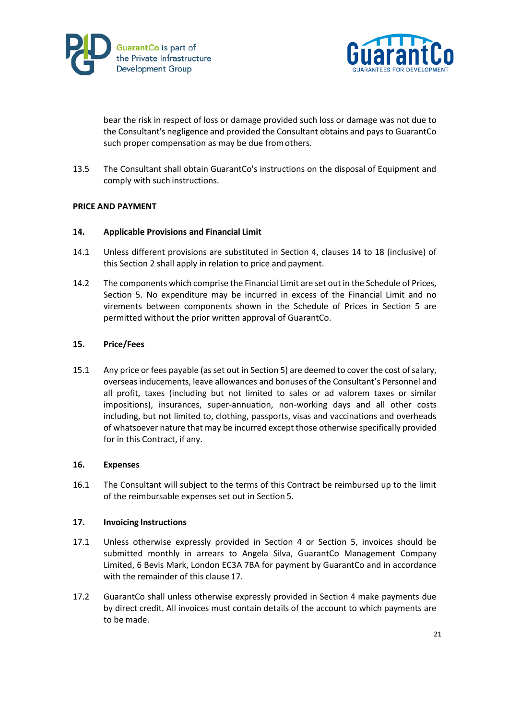



bear the risk in respect of loss or damage provided such loss or damage was not due to the Consultant's negligence and provided the Consultant obtains and pays to GuarantCo such proper compensation as may be due fromothers.

13.5 The Consultant shall obtain GuarantCo's instructions on the disposal of Equipment and comply with such instructions.

### **PRICE AND PAYMENT**

### **14. Applicable Provisions and Financial Limit**

- 14.1 Unless different provisions are substituted in Section 4, clauses 14 to 18 (inclusive) of this Section 2 shall apply in relation to price and payment.
- 14.2 The components which comprise the Financial Limit are set out in the Schedule of Prices, Section 5. No expenditure may be incurred in excess of the Financial Limit and no virements between components shown in the Schedule of Prices in Section 5 are permitted without the prior written approval of GuarantCo.

### **15. Price/Fees**

15.1 Any price or fees payable (as set out in Section 5) are deemed to cover the cost of salary, overseas inducements, leave allowances and bonuses of the Consultant's Personnel and all profit, taxes (including but not limited to sales or ad valorem taxes or similar impositions), insurances, super-annuation, non-working days and all other costs including, but not limited to, clothing, passports, visas and vaccinations and overheads of whatsoever nature that may be incurred except those otherwise specifically provided for in this Contract, if any.

### **16. Expenses**

16.1 The Consultant will subject to the terms of this Contract be reimbursed up to the limit of the reimbursable expenses set out in Section 5.

### **17. Invoicing Instructions**

- 17.1 Unless otherwise expressly provided in Section 4 or Section 5, invoices should be submitted monthly in arrears to Angela Silva, GuarantCo Management Company Limited, 6 Bevis Mark, London EC3A 7BA for payment by GuarantCo and in accordance with the remainder of this clause 17.
- 17.2 GuarantCo shall unless otherwise expressly provided in Section 4 make payments due by direct credit. All invoices must contain details of the account to which payments are to be made.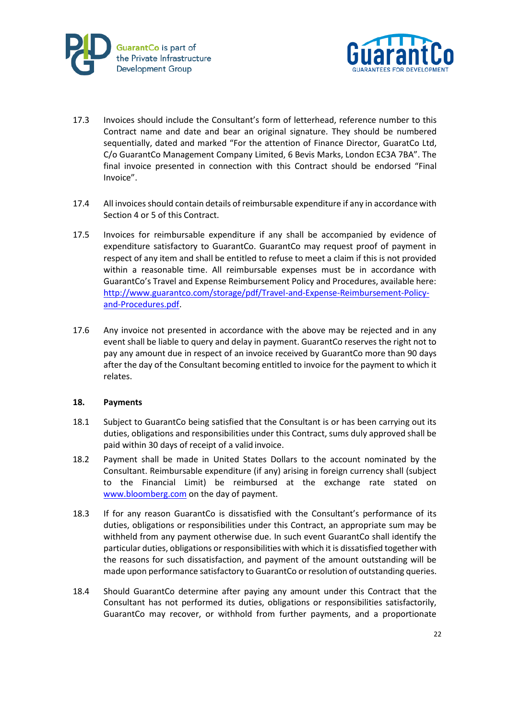



- 17.3 Invoices should include the Consultant's form of letterhead, reference number to this Contract name and date and bear an original signature. They should be numbered sequentially, dated and marked "For the attention of Finance Director, GuaratCo Ltd, C/o GuarantCo Management Company Limited, 6 Bevis Marks, London EC3A 7BA". The final invoice presented in connection with this Contract should be endorsed "Final Invoice".
- 17.4 All invoices should contain details of reimbursable expenditure if any in accordance with Section 4 or 5 of this Contract.
- 17.5 Invoices for reimbursable expenditure if any shall be accompanied by evidence of expenditure satisfactory to GuarantCo. GuarantCo may request proof of payment in respect of any item and shall be entitled to refuse to meet a claim if this is not provided within a reasonable time. All reimbursable expenses must be in accordance with GuarantCo's Travel and Expense Reimbursement Policy and Procedures, available here: [http://www.guarantco.com/storage/pdf/Travel-and-Expense-Reimbursement-Policy](http://www.guarantco.com/storage/pdf/Travel-and-Expense-Reimbursement-Policy-and-Procedures.pdf)[and-Procedures.pdf.](http://www.guarantco.com/storage/pdf/Travel-and-Expense-Reimbursement-Policy-and-Procedures.pdf)
- 17.6 Any invoice not presented in accordance with the above may be rejected and in any event shall be liable to query and delay in payment. GuarantCo reserves the right not to pay any amount due in respect of an invoice received by GuarantCo more than 90 days after the day of the Consultant becoming entitled to invoice for the payment to which it relates.

### **18. Payments**

- 18.1 Subject to GuarantCo being satisfied that the Consultant is or has been carrying out its duties, obligations and responsibilities under this Contract, sums duly approved shall be paid within 30 days of receipt of a valid invoice.
- 18.2 Payment shall be made in United States Dollars to the account nominated by the Consultant. Reimbursable expenditure (if any) arising in foreign currency shall (subject to the Financial Limit) be reimbursed at the exchange rate stated on [www.bloomberg.com](http://www.bloomberg.com/) on the day of payment.
- 18.3 If for any reason GuarantCo is dissatisfied with the Consultant's performance of its duties, obligations or responsibilities under this Contract, an appropriate sum may be withheld from any payment otherwise due. In such event GuarantCo shall identify the particular duties, obligations or responsibilities with which it is dissatisfied together with the reasons for such dissatisfaction, and payment of the amount outstanding will be made upon performance satisfactory to GuarantCo or resolution of outstanding queries.
- 18.4 Should GuarantCo determine after paying any amount under this Contract that the Consultant has not performed its duties, obligations or responsibilities satisfactorily, GuarantCo may recover, or withhold from further payments, and a proportionate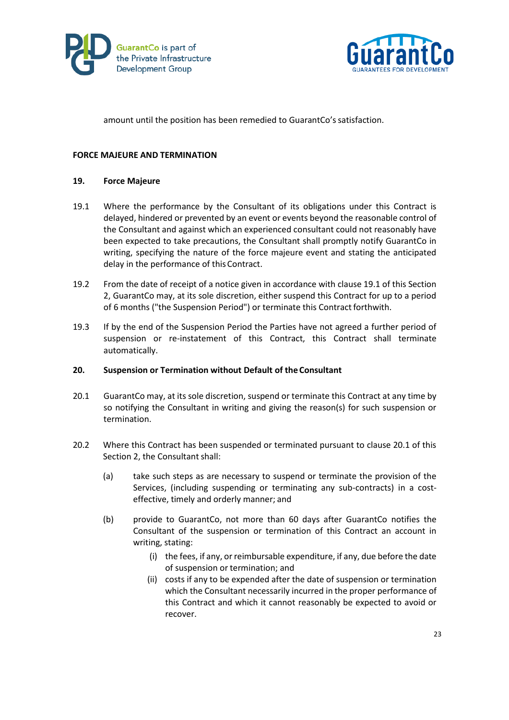



amount until the position has been remedied to GuarantCo's satisfaction.

#### **FORCE MAJEURE AND TERMINATION**

#### **19. Force Majeure**

- 19.1 Where the performance by the Consultant of its obligations under this Contract is delayed, hindered or prevented by an event or events beyond the reasonable control of the Consultant and against which an experienced consultant could not reasonably have been expected to take precautions, the Consultant shall promptly notify GuarantCo in writing, specifying the nature of the force majeure event and stating the anticipated delay in the performance of thisContract.
- 19.2 From the date of receipt of a notice given in accordance with clause 19.1 of this Section 2, GuarantCo may, at its sole discretion, either suspend this Contract for up to a period of 6 months ("the Suspension Period") or terminate this Contract forthwith.
- 19.3 If by the end of the Suspension Period the Parties have not agreed a further period of suspension or re-instatement of this Contract, this Contract shall terminate automatically.

### **20. Suspension or Termination without Default of the Consultant**

- 20.1 GuarantCo may, at its sole discretion, suspend or terminate this Contract at any time by so notifying the Consultant in writing and giving the reason(s) for such suspension or termination.
- 20.2 Where this Contract has been suspended or terminated pursuant to clause 20.1 of this Section 2, the Consultant shall:
	- (a) take such steps as are necessary to suspend or terminate the provision of the Services, (including suspending or terminating any sub-contracts) in a costeffective, timely and orderly manner; and
	- (b) provide to GuarantCo, not more than 60 days after GuarantCo notifies the Consultant of the suspension or termination of this Contract an account in writing, stating:
		- (i) the fees, if any, or reimbursable expenditure, if any, due before the date of suspension or termination; and
		- (ii) costs if any to be expended after the date of suspension or termination which the Consultant necessarily incurred in the proper performance of this Contract and which it cannot reasonably be expected to avoid or recover.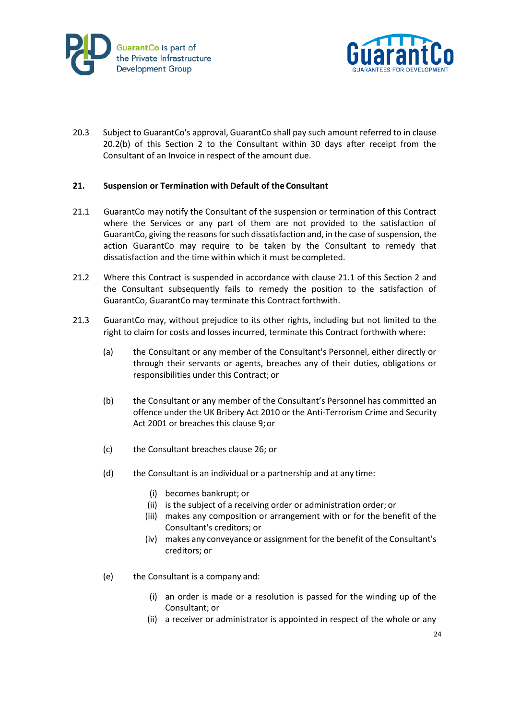



20.3 Subject to GuarantCo's approval, GuarantCo shall pay such amount referred to in clause 20.2(b) of this Section 2 to the Consultant within 30 days after receipt from the Consultant of an Invoice in respect of the amount due.

### **21. Suspension or Termination with Default of the Consultant**

- 21.1 GuarantCo may notify the Consultant of the suspension or termination of this Contract where the Services or any part of them are not provided to the satisfaction of GuarantCo, giving the reasons for such dissatisfaction and, in the case of suspension, the action GuarantCo may require to be taken by the Consultant to remedy that dissatisfaction and the time within which it must be completed.
- 21.2 Where this Contract is suspended in accordance with clause 21.1 of this Section 2 and the Consultant subsequently fails to remedy the position to the satisfaction of GuarantCo, GuarantCo may terminate this Contract forthwith.
- 21.3 GuarantCo may, without prejudice to its other rights, including but not limited to the right to claim for costs and losses incurred, terminate this Contract forthwith where:
	- (a) the Consultant or any member of the Consultant's Personnel, either directly or through their servants or agents, breaches any of their duties, obligations or responsibilities under this Contract; or
	- (b) the Consultant or any member of the Consultant's Personnel has committed an offence under the UK Bribery Act 2010 or the Anti-Terrorism Crime and Security Act 2001 or breaches this clause 9;or
	- (c) the Consultant breaches clause 26; or
	- (d) the Consultant is an individual or a partnership and at any time:
		- (i) becomes bankrupt; or
		- (ii) is the subject of a receiving order or administration order; or
		- (iii) makes any composition or arrangement with or for the benefit of the Consultant's creditors; or
		- (iv) makes any conveyance or assignment for the benefit of the Consultant's creditors; or
	- (e) the Consultant is a company and:
		- (i) an order is made or a resolution is passed for the winding up of the Consultant; or
		- (ii) a receiver or administrator is appointed in respect of the whole or any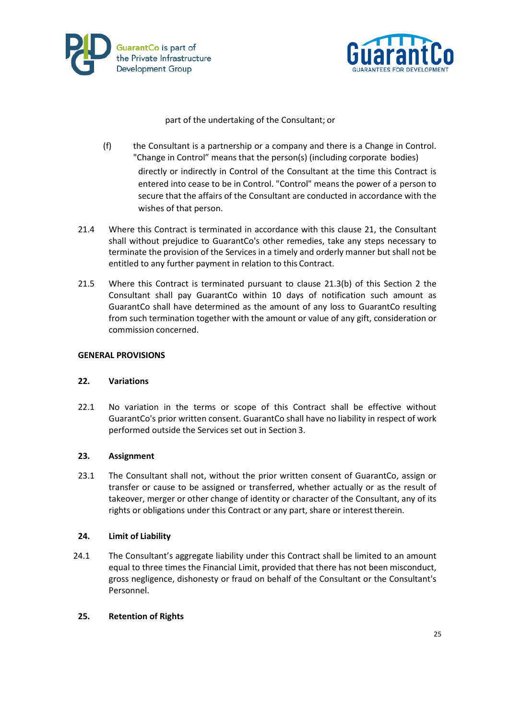



part of the undertaking of the Consultant; or

- (f) the Consultant is a partnership or a company and there is a Change in Control. "Change in Control" means that the person(s) (including corporate bodies) directly or indirectly in Control of the Consultant at the time this Contract is entered into cease to be in Control. "Control" means the power of a person to secure that the affairs of the Consultant are conducted in accordance with the wishes of that person.
- 21.4 Where this Contract is terminated in accordance with this clause 21, the Consultant shall without prejudice to GuarantCo's other remedies, take any steps necessary to terminate the provision of the Services in a timely and orderly manner but shall not be entitled to any further payment in relation to this Contract.
- 21.5 Where this Contract is terminated pursuant to clause 21.3(b) of this Section 2 the Consultant shall pay GuarantCo within 10 days of notification such amount as GuarantCo shall have determined as the amount of any loss to GuarantCo resulting from such termination together with the amount or value of any gift, consideration or commission concerned.

### **GENERAL PROVISIONS**

### **22. Variations**

22.1 No variation in the terms or scope of this Contract shall be effective without GuarantCo's prior written consent. GuarantCo shall have no liability in respect of work performed outside the Services set out in Section 3.

### **23. Assignment**

23.1 The Consultant shall not, without the prior written consent of GuarantCo, assign or transfer or cause to be assigned or transferred, whether actually or as the result of takeover, merger or other change of identity or character of the Consultant, any of its rights or obligations under this Contract or any part, share or interesttherein.

### **24. Limit of Liability**

24.1 The Consultant's aggregate liability under this Contract shall be limited to an amount equal to three times the Financial Limit, provided that there has not been misconduct, gross negligence, dishonesty or fraud on behalf of the Consultant or the Consultant's Personnel.

### **25. Retention of Rights**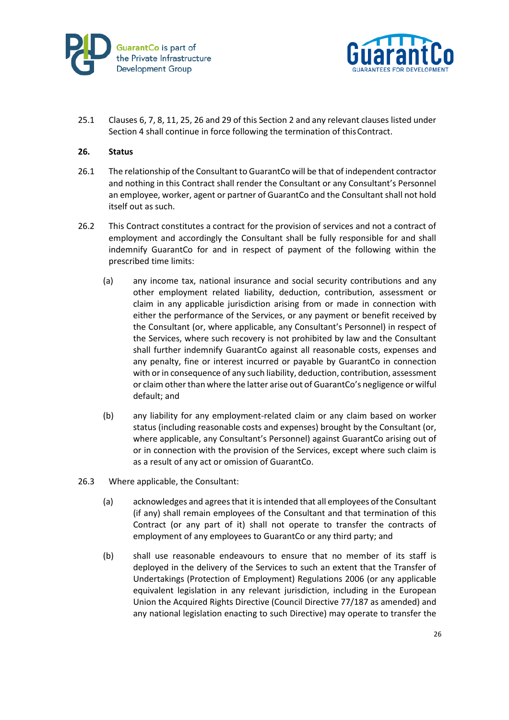



25.1 Clauses 6, 7, 8, 11, 25, 26 and 29 of this Section 2 and any relevant clauses listed under Section 4 shall continue in force following the termination of this Contract.

### **26. Status**

- 26.1 The relationship of the Consultant to GuarantCo will be that of independent contractor and nothing in this Contract shall render the Consultant or any Consultant's Personnel an employee, worker, agent or partner of GuarantCo and the Consultant shall not hold itself out as such.
- 26.2 This Contract constitutes a contract for the provision of services and not a contract of employment and accordingly the Consultant shall be fully responsible for and shall indemnify GuarantCo for and in respect of payment of the following within the prescribed time limits:
	- (a) any income tax, national insurance and social security contributions and any other employment related liability, deduction, contribution, assessment or claim in any applicable jurisdiction arising from or made in connection with either the performance of the Services, or any payment or benefit received by the Consultant (or, where applicable, any Consultant's Personnel) in respect of the Services, where such recovery is not prohibited by law and the Consultant shall further indemnify GuarantCo against all reasonable costs, expenses and any penalty, fine or interest incurred or payable by GuarantCo in connection with or in consequence of any such liability, deduction, contribution, assessment or claim other than where the latter arise out of GuarantCo's negligence or wilful default; and
	- (b) any liability for any employment-related claim or any claim based on worker status (including reasonable costs and expenses) brought by the Consultant (or, where applicable, any Consultant's Personnel) against GuarantCo arising out of or in connection with the provision of the Services, except where such claim is as a result of any act or omission of GuarantCo.
- 26.3 Where applicable, the Consultant:
	- (a) acknowledges and agrees that it is intended that all employees of the Consultant (if any) shall remain employees of the Consultant and that termination of this Contract (or any part of it) shall not operate to transfer the contracts of employment of any employees to GuarantCo or any third party; and
	- (b) shall use reasonable endeavours to ensure that no member of its staff is deployed in the delivery of the Services to such an extent that the Transfer of Undertakings (Protection of Employment) Regulations 2006 (or any applicable equivalent legislation in any relevant jurisdiction, including in the European Union the Acquired Rights Directive (Council Directive 77/187 as amended) and any national legislation enacting to such Directive) may operate to transfer the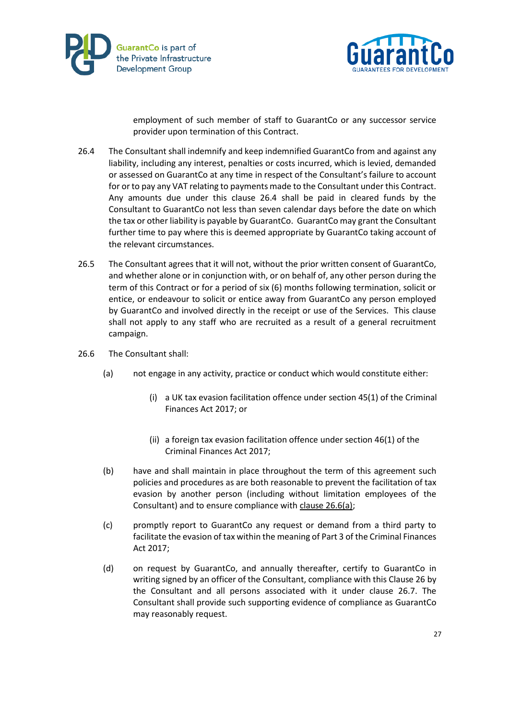



employment of such member of staff to GuarantCo or any successor service provider upon termination of this Contract.

- 26.4 The Consultant shall indemnify and keep indemnified GuarantCo from and against any liability, including any interest, penalties or costs incurred, which is levied, demanded or assessed on GuarantCo at any time in respect of the Consultant's failure to account for or to pay any VAT relating to payments made to the Consultant under this Contract. Any amounts due under this clause 26.4 shall be paid in cleared funds by the Consultant to GuarantCo not less than seven calendar days before the date on which the tax or other liability is payable by GuarantCo. GuarantCo may grant the Consultant further time to pay where this is deemed appropriate by GuarantCo taking account of the relevant circumstances.
- 26.5 The Consultant agrees that it will not, without the prior written consent of GuarantCo, and whether alone or in conjunction with, or on behalf of, any other person during the term of this Contract or for a period of six (6) months following termination, solicit or entice, or endeavour to solicit or entice away from GuarantCo any person employed by GuarantCo and involved directly in the receipt or use of the Services. This clause shall not apply to any staff who are recruited as a result of a general recruitment campaign.
- 26.6 The Consultant shall:
	- (a) not engage in any activity, practice or conduct which would constitute either:
		- (i) a UK tax evasion facilitation offence under section 45(1) of the Criminal Finances Act 2017; or
		- (ii) a foreign tax evasion facilitation offence under section 46(1) of the Criminal Finances Act 2017;
	- (b) have and shall maintain in place throughout the term of this agreement such policies and procedures as are both reasonable to prevent the facilitation of tax evasion by another person (including without limitation employees of the Consultant) and to ensure compliance wit[h clause 26.6\(a\);](file://///guarantco.local/LONDON/Shared/13.%20GuarantCo%20Management%20Company/13.5%20Company%20Secretarial/13.5.6%20Board%20Meetings%20and%20Papers/30%20November%202017/Final%20Papers/ITEM%208%20Memo%20on%20failure%20to%20prevent%20facilitation%20of%20tax%20evasion.rtf%23co_anchor_a310969_1)
	- (c) promptly report to GuarantCo any request or demand from a third party to facilitate the evasion of tax within the meaning of Part 3 of the Criminal Finances Act 2017;
	- (d) on request by GuarantCo, and annually thereafter, certify to GuarantCo in writing signed by an officer of the Consultant, compliance with this Clause 26 by the Consultant and all persons associated with it under clause 26.7. The Consultant shall provide such supporting evidence of compliance as GuarantCo may reasonably request.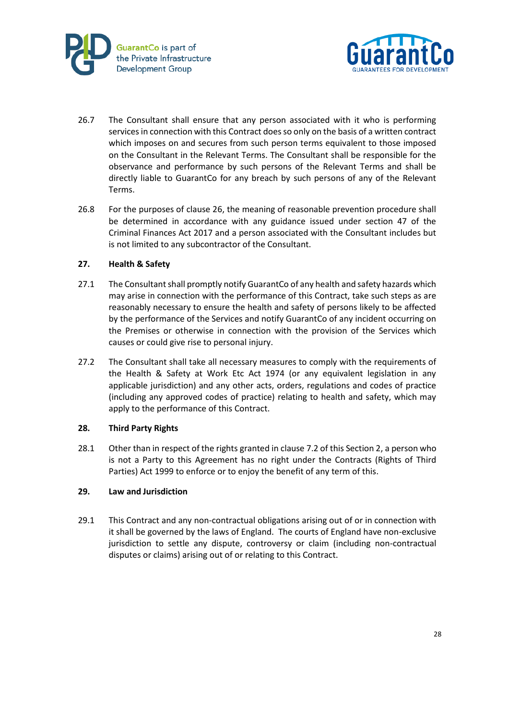



- 26.7 The Consultant shall ensure that any person associated with it who is performing services in connection with this Contract does so only on the basis of a written contract which imposes on and secures from such person terms equivalent to those imposed on the Consultant in the Relevant Terms. The Consultant shall be responsible for the observance and performance by such persons of the Relevant Terms and shall be directly liable to GuarantCo for any breach by such persons of any of the Relevant Terms.
- 26.8 For the purposes of clause 26, the meaning of reasonable prevention procedure shall be determined in accordance with any guidance issued under section 47 of the Criminal Finances Act 2017 and a person associated with the Consultant includes but is not limited to any subcontractor of the Consultant.

### **27. Health & Safety**

- 27.1 The Consultant shall promptly notify GuarantCo of any health and safety hazards which may arise in connection with the performance of this Contract, take such steps as are reasonably necessary to ensure the health and safety of persons likely to be affected by the performance of the Services and notify GuarantCo of any incident occurring on the Premises or otherwise in connection with the provision of the Services which causes or could give rise to personal injury.
- 27.2 The Consultant shall take all necessary measures to comply with the requirements of the Health & Safety at Work Etc Act 1974 (or any equivalent legislation in any applicable jurisdiction) and any other acts, orders, regulations and codes of practice (including any approved codes of practice) relating to health and safety, which may apply to the performance of this Contract.

### **28. Third Party Rights**

28.1 Other than in respect of the rights granted in clause 7.2 of this Section 2, a person who is not a Party to this Agreement has no right under the Contracts (Rights of Third Parties) Act 1999 to enforce or to enjoy the benefit of any term of this.

### **29. Law and Jurisdiction**

29.1 This Contract and any non-contractual obligations arising out of or in connection with it shall be governed by the laws of England. The courts of England have non-exclusive jurisdiction to settle any dispute, controversy or claim (including non-contractual disputes or claims) arising out of or relating to this Contract.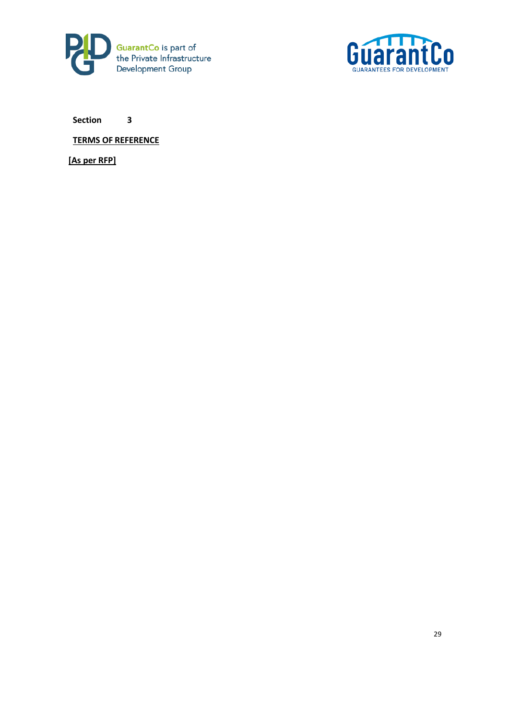



**TERMS OF REFERENCE**

**[As per RFP]**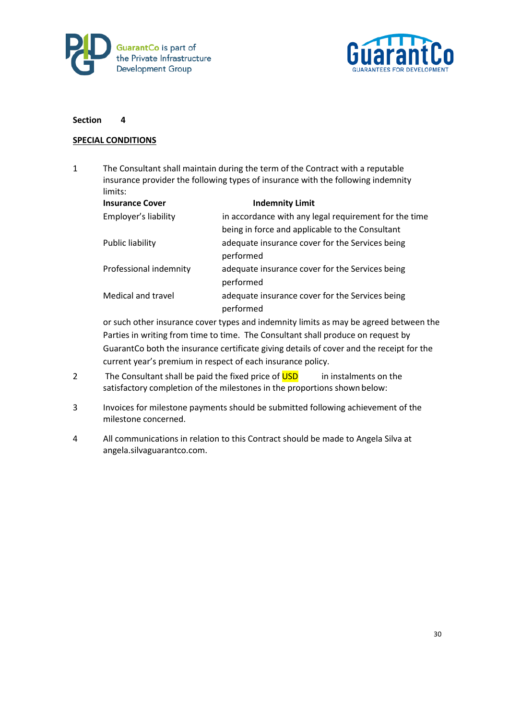



### **SPECIAL CONDITIONS**

1 The Consultant shall maintain during the term of the Contract with a reputable insurance provider the following types of insurance with the following indemnity limits:

| <b>Insurance Cover</b> | <b>Indemnity Limit</b>                                |
|------------------------|-------------------------------------------------------|
| Employer's liability   | in accordance with any legal requirement for the time |
|                        | being in force and applicable to the Consultant       |
| Public liability       | adequate insurance cover for the Services being       |
|                        | performed                                             |
| Professional indemnity | adequate insurance cover for the Services being       |
|                        | performed                                             |
| Medical and travel     | adequate insurance cover for the Services being       |
|                        | performed                                             |

or such other insurance cover types and indemnity limits as may be agreed between the Parties in writing from time to time. The Consultant shall produce on request by GuarantCo both the insurance certificate giving details of cover and the receipt for the current year's premium in respect of each insurance policy.

- 2 The Consultant shall be paid the fixed price of USD in instalments on the satisfactory completion of the milestones in the proportions shown below:
- 3 Invoices for milestone payments should be submitted following achievement of the milestone concerned.
- 4 All communications in relation to this Contract should be made to Angela Silva at angela.silvaguarantco.com.